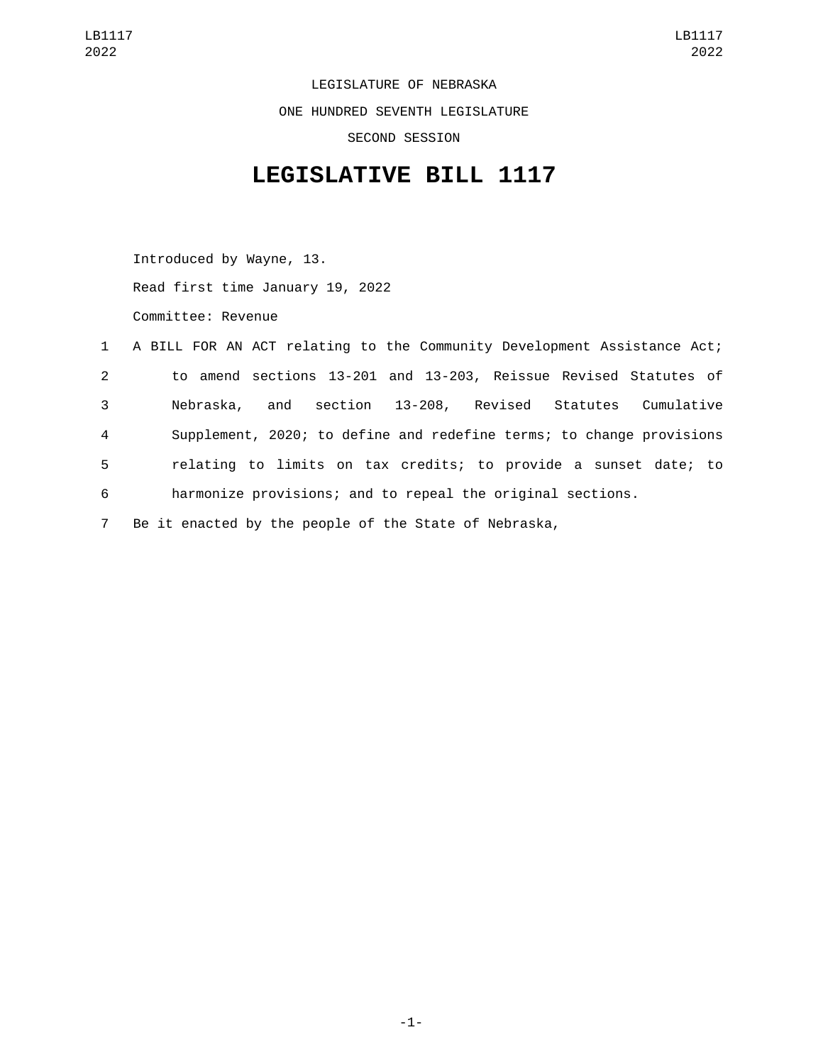LEGISLATURE OF NEBRASKA ONE HUNDRED SEVENTH LEGISLATURE SECOND SESSION

## **LEGISLATIVE BILL 1117**

Introduced by Wayne, 13. Read first time January 19, 2022 Committee: Revenue

|                | 1 A BILL FOR AN ACT relating to the Community Development Assistance Act; |
|----------------|---------------------------------------------------------------------------|
| $2^{\circ}$    | to amend sections 13-201 and 13-203, Reissue Revised Statutes of          |
| 3              | section 13-208, Revised Statutes Cumulative<br>Nebraska,<br>and           |
| $\overline{4}$ | Supplement, 2020; to define and redefine terms; to change provisions      |
| 5              | relating to limits on tax credits; to provide a sunset date; to           |
| 6              | harmonize provisions; and to repeal the original sections.                |
| $7^{\circ}$    | Be it enacted by the people of the State of Nebraska,                     |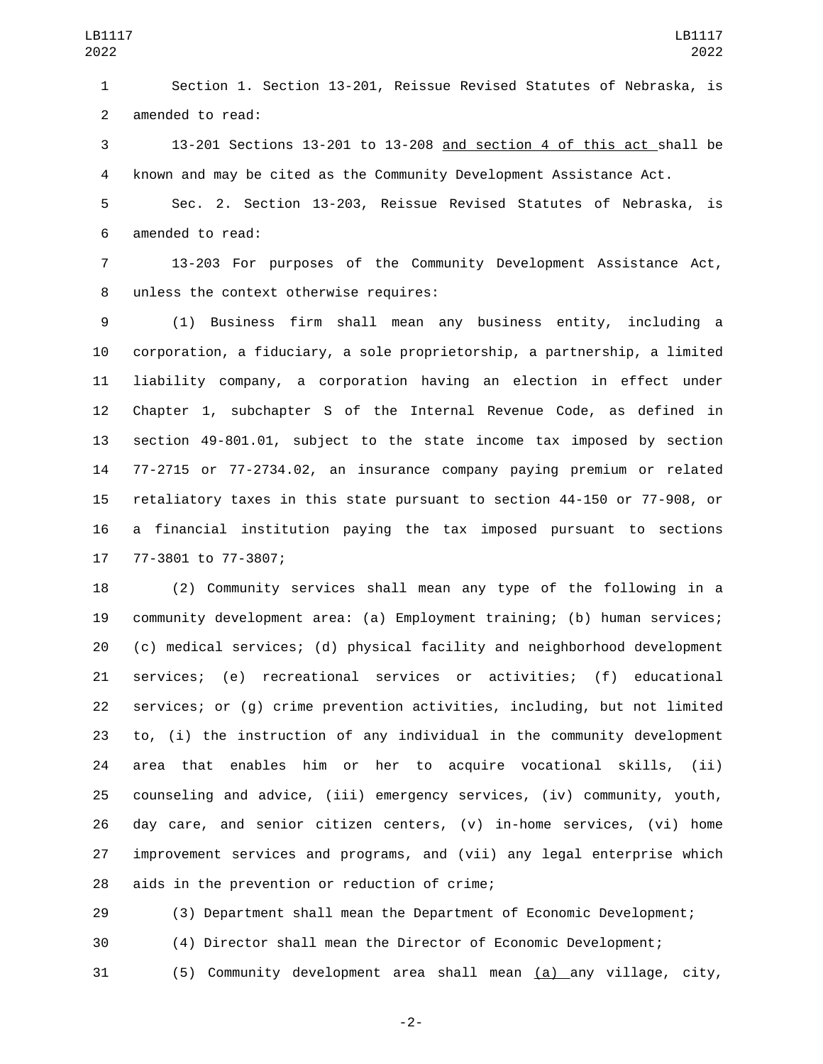Section 1. Section 13-201, Reissue Revised Statutes of Nebraska, is 2 amended to read:

 13-201 Sections 13-201 to 13-208 and section 4 of this act shall be known and may be cited as the Community Development Assistance Act.

 Sec. 2. Section 13-203, Reissue Revised Statutes of Nebraska, is 6 amended to read:

 13-203 For purposes of the Community Development Assistance Act, 8 unless the context otherwise requires:

 (1) Business firm shall mean any business entity, including a corporation, a fiduciary, a sole proprietorship, a partnership, a limited liability company, a corporation having an election in effect under Chapter 1, subchapter S of the Internal Revenue Code, as defined in section 49-801.01, subject to the state income tax imposed by section 77-2715 or 77-2734.02, an insurance company paying premium or related retaliatory taxes in this state pursuant to section 44-150 or 77-908, or a financial institution paying the tax imposed pursuant to sections 17 77-3801 to 77-3807;

 (2) Community services shall mean any type of the following in a community development area: (a) Employment training; (b) human services; (c) medical services; (d) physical facility and neighborhood development services; (e) recreational services or activities; (f) educational services; or (g) crime prevention activities, including, but not limited to, (i) the instruction of any individual in the community development area that enables him or her to acquire vocational skills, (ii) counseling and advice, (iii) emergency services, (iv) community, youth, 26 day care, and senior citizen centers,  $(v)$  in-home services,  $(vi)$  home improvement services and programs, and (vii) any legal enterprise which 28 aids in the prevention or reduction of crime;

 (3) Department shall mean the Department of Economic Development; (4) Director shall mean the Director of Economic Development; (5) Community development area shall mean (a) any village, city,

-2-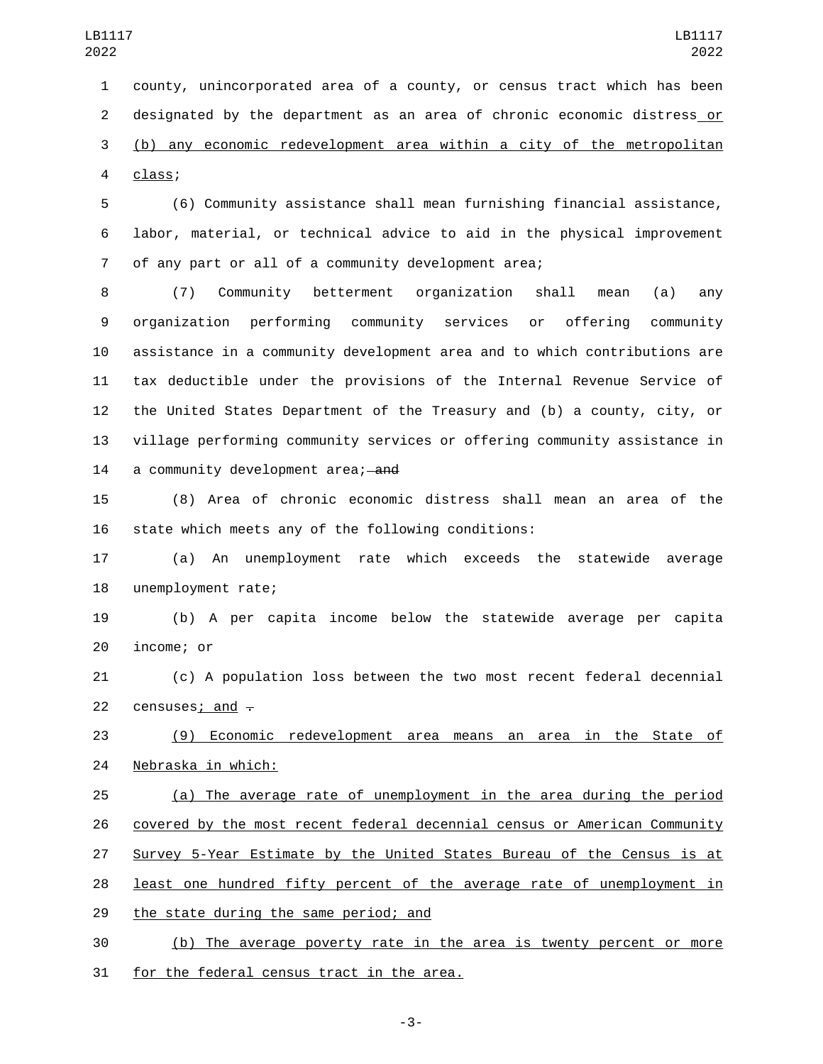county, unincorporated area of a county, or census tract which has been designated by the department as an area of chronic economic distress or (b) any economic redevelopment area within a city of the metropolitan class;4

 (6) Community assistance shall mean furnishing financial assistance, labor, material, or technical advice to aid in the physical improvement of any part or all of a community development area;

 (7) Community betterment organization shall mean (a) any organization performing community services or offering community assistance in a community development area and to which contributions are tax deductible under the provisions of the Internal Revenue Service of the United States Department of the Treasury and (b) a county, city, or village performing community services or offering community assistance in 14 a community development area; and

 (8) Area of chronic economic distress shall mean an area of the state which meets any of the following conditions:

 (a) An unemployment rate which exceeds the statewide average 18 unemployment rate;

 (b) A per capita income below the statewide average per capita 20 income; or

 (c) A population loss between the two most recent federal decennial 22 censuses; and  $\overline{z}$ 

 (9) Economic redevelopment area means an area in the State of 24 Nebraska in which:

 (a) The average rate of unemployment in the area during the period covered by the most recent federal decennial census or American Community Survey 5-Year Estimate by the United States Bureau of the Census is at 28 least one hundred fifty percent of the average rate of unemployment in 29 the state during the same period; and

 (b) The average poverty rate in the area is twenty percent or more 31 for the federal census tract in the area.

-3-